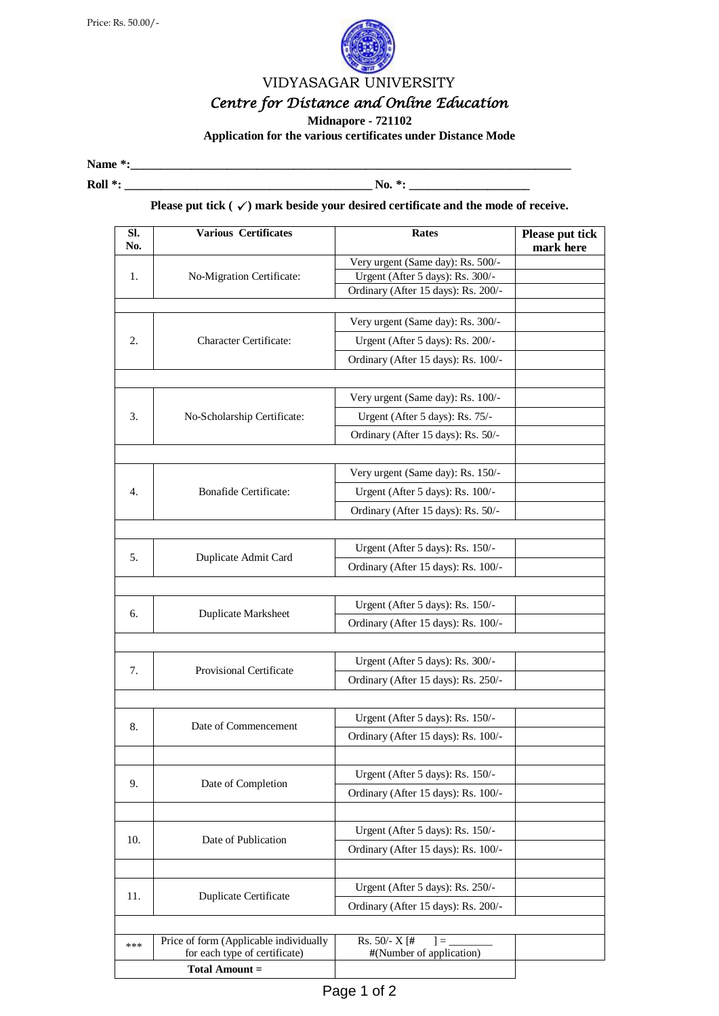

VIDYASAGAR UNIVERSITY

## *Centre for Distance and Online Education*

**Midnapore - 721102** 

**Application for the various certificates under Distance Mode** 

**Name \*:\_\_\_\_\_\_\_\_\_\_\_\_\_\_\_\_\_\_\_\_\_\_\_\_\_\_\_\_\_\_\_\_\_\_\_\_\_\_\_\_\_\_\_\_\_\_\_\_\_\_\_\_\_\_\_\_\_\_\_\_\_\_\_\_\_\_\_\_\_\_\_\_\_**

**Roll \*: \_\_\_\_\_\_\_\_\_\_\_\_\_\_\_\_\_\_\_\_\_\_\_\_\_\_\_\_\_\_\_\_\_\_\_\_\_\_\_\_\_ No. \*: \_\_\_\_\_\_\_\_\_\_\_\_\_\_\_\_\_\_\_\_**

## **Please put tick**  $(\checkmark)$  mark beside your desired certificate and the mode of receive.

| SI.<br>No. | <b>Various Certificates</b>                            | <b>Rates</b>                        | Please put tick<br>mark here |  |
|------------|--------------------------------------------------------|-------------------------------------|------------------------------|--|
|            | No-Migration Certificate:                              | Very urgent (Same day): Rs. 500/-   |                              |  |
| 1.         |                                                        | Urgent (After 5 days): Rs. 300/-    |                              |  |
|            |                                                        | Ordinary (After 15 days): Rs. 200/- |                              |  |
|            |                                                        |                                     |                              |  |
| 2.         | <b>Character Certificate:</b>                          | Very urgent (Same day): Rs. 300/-   |                              |  |
|            |                                                        | Urgent (After 5 days): Rs. 200/-    |                              |  |
|            |                                                        | Ordinary (After 15 days): Rs. 100/- |                              |  |
|            |                                                        |                                     |                              |  |
| 3.         | No-Scholarship Certificate:                            | Very urgent (Same day): Rs. 100/-   |                              |  |
|            |                                                        | Urgent (After 5 days): Rs. 75/-     |                              |  |
|            |                                                        | Ordinary (After 15 days): Rs. 50/-  |                              |  |
|            |                                                        |                                     |                              |  |
|            |                                                        | Very urgent (Same day): Rs. 150/-   |                              |  |
| 4.         | <b>Bonafide Certificate:</b>                           | Urgent (After 5 days): Rs. 100/-    |                              |  |
|            |                                                        |                                     |                              |  |
|            |                                                        | Ordinary (After 15 days): Rs. 50/-  |                              |  |
|            | Duplicate Admit Card                                   |                                     |                              |  |
| 5.         |                                                        | Urgent (After 5 days): Rs. 150/-    |                              |  |
|            |                                                        | Ordinary (After 15 days): Rs. 100/- |                              |  |
|            |                                                        |                                     |                              |  |
| 6.         | Duplicate Marksheet                                    | Urgent (After 5 days): Rs. 150/-    |                              |  |
|            |                                                        | Ordinary (After 15 days): Rs. 100/- |                              |  |
|            |                                                        |                                     |                              |  |
| 7.         | <b>Provisional Certificate</b>                         | Urgent (After 5 days): Rs. 300/-    |                              |  |
|            |                                                        | Ordinary (After 15 days): Rs. 250/- |                              |  |
|            |                                                        |                                     |                              |  |
| 8.         | Date of Commencement                                   | Urgent (After 5 days): Rs. 150/-    |                              |  |
|            |                                                        | Ordinary (After 15 days): Rs. 100/- |                              |  |
|            |                                                        |                                     |                              |  |
| 9.         | Date of Completion                                     | Urgent (After 5 days): Rs. 150/-    |                              |  |
|            |                                                        | Ordinary (After 15 days): Rs. 100/- |                              |  |
|            |                                                        |                                     |                              |  |
| 10.        | Date of Publication                                    | Urgent (After 5 days): Rs. 150/-    |                              |  |
|            |                                                        |                                     |                              |  |
|            |                                                        | Ordinary (After 15 days): Rs. 100/- |                              |  |
| 11.        | Duplicate Certificate                                  |                                     |                              |  |
|            |                                                        | Urgent (After 5 days): Rs. 250/-    |                              |  |
|            |                                                        | Ordinary (After 15 days): Rs. 200/- |                              |  |
|            |                                                        |                                     |                              |  |
| ***        | Price of form (Applicable individually                 | Rs. $50/- X$ [#<br>$]=$             |                              |  |
|            | for each type of certificate)<br><b>Total Amount =</b> | #(Number of application)            |                              |  |
|            |                                                        |                                     |                              |  |